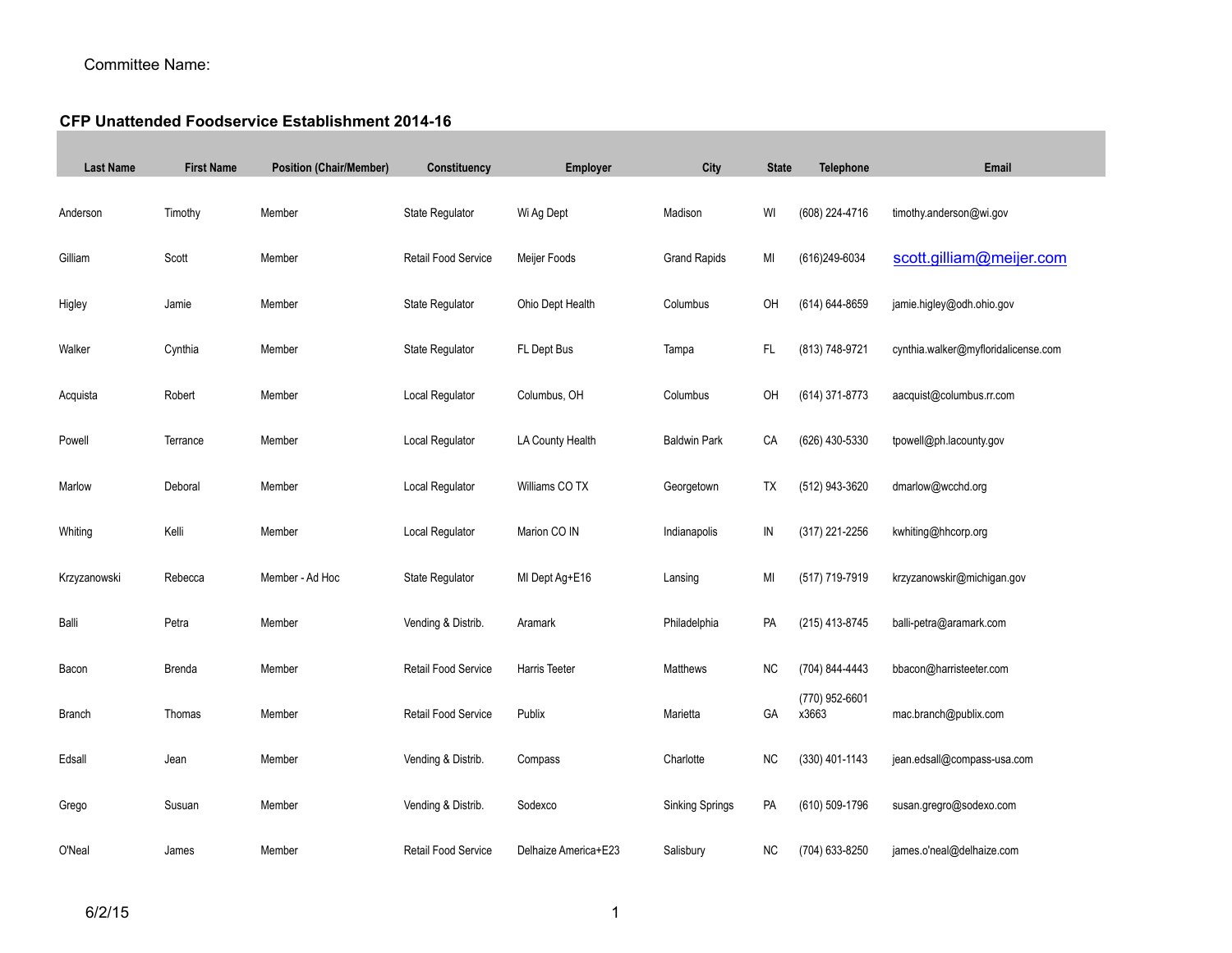## Committee Name:

## **CFP Unattended Foodservice Establishment 2014-16**

| <b>Last Name</b> | <b>First Name</b> | <b>Position (Chair/Member)</b> | Constituency           | Employer             | City                   | <b>State</b>  | <b>Telephone</b>        | Email                               |
|------------------|-------------------|--------------------------------|------------------------|----------------------|------------------------|---------------|-------------------------|-------------------------------------|
| Anderson         | Timothy           | Member                         | State Regulator        | Wi Ag Dept           | Madison                | WI            | (608) 224-4716          | timothy.anderson@wi.gov             |
| Gilliam          | Scott             | Member                         | Retail Food Service    | Meijer Foods         | <b>Grand Rapids</b>    | MI            | (616)249-6034           | scott.gilliam@meijer.com            |
| Higley           | Jamie             | Member                         | <b>State Regulator</b> | Ohio Dept Health     | Columbus               | OH            | (614) 644-8659          | jamie.higley@odh.ohio.gov           |
| Walker           | Cynthia           | Member                         | State Regulator        | FL Dept Bus          | Tampa                  | FL            | (813) 748-9721          | cynthia.walker@myfloridalicense.com |
| Acquista         | Robert            | Member                         | Local Regulator        | Columbus, OH         | Columbus               | OH            | (614) 371-8773          | aacquist@columbus.rr.com            |
| Powell           | Terrance          | Member                         | Local Regulator        | LA County Health     | <b>Baldwin Park</b>    | CA            | (626) 430-5330          | tpowell@ph.lacounty.gov             |
| Marlow           | Deboral           | Member                         | Local Regulator        | Williams CO TX       | Georgetown             | TX            | (512) 943-3620          | dmarlow@wcchd.org                   |
| Whiting          | Kelli             | Member                         | Local Regulator        | Marion CO IN         | Indianapolis           | $\mathsf{IN}$ | (317) 221-2256          | kwhiting@hhcorp.org                 |
| Krzyzanowski     | Rebecca           | Member - Ad Hoc                | State Regulator        | MI Dept Ag+E16       | Lansing                | MI            | (517) 719-7919          | krzyzanowskir@michigan.gov          |
| Balli            | Petra             | Member                         | Vending & Distrib.     | Aramark              | Philadelphia           | PA            | (215) 413-8745          | balli-petra@aramark.com             |
| Bacon            | Brenda            | Member                         | Retail Food Service    | Harris Teeter        | Matthews               | <b>NC</b>     | (704) 844-4443          | bbacon@harristeeter.com             |
| <b>Branch</b>    | Thomas            | Member                         | Retail Food Service    | Publix               | Marietta               | GA            | (770) 952-6601<br>x3663 | mac.branch@publix.com               |
| Edsall           | Jean              | Member                         | Vending & Distrib.     | Compass              | Charlotte              | <b>NC</b>     | (330) 401-1143          | jean.edsall@compass-usa.com         |
| Grego            | Susuan            | Member                         | Vending & Distrib.     | Sodexco              | <b>Sinking Springs</b> | PA            | (610) 509-1796          | susan.gregro@sodexo.com             |
| O'Neal           | James             | Member                         | Retail Food Service    | Delhaize America+E23 | Salisbury              | <b>NC</b>     | (704) 633-8250          | james.o'neal@delhaize.com           |